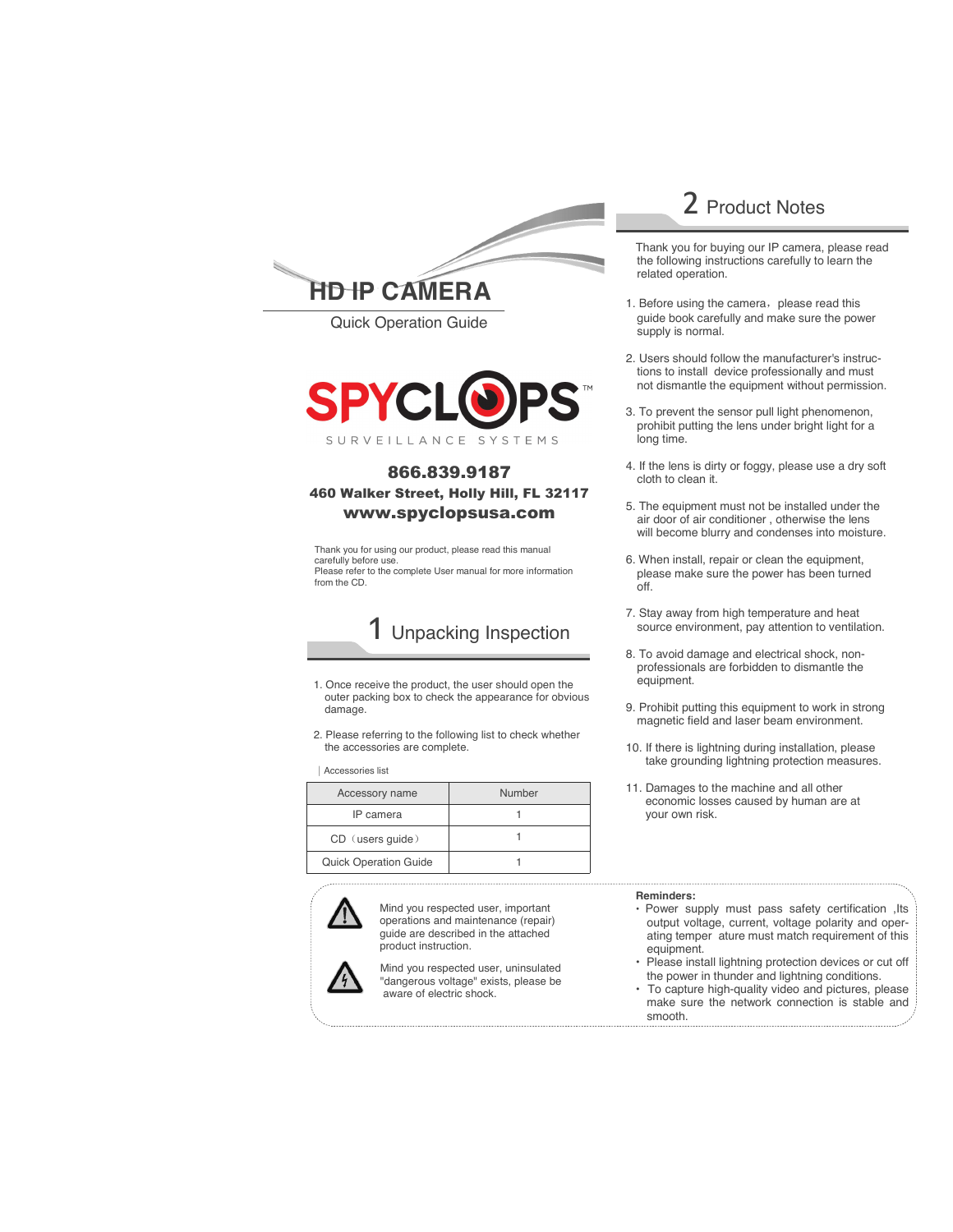

Quick Operation Guide **SPY-BLTG2IP24**



### 866.839.9187 460 Walker Street, Holly Hill, FL 32117 www.spyclopsusa.com

Thank you for using our product, please read this manual carefully before use. Please refer to the complete User manual for more information from the CD.

# 1 Unpacking Inspection

- 1. Once receive the product, the user should open the outer packing box to check the appearance for obvious damage.
- 2. Please referring to the following list to check whether the accessories are complete.

|Accessories list

| Accessory name               | Number |
|------------------------------|--------|
| IP camera                    |        |
| CD (users quide)             |        |
| <b>Quick Operation Guide</b> |        |



Mind you respected user, important operations and maintenance (repair) guide are described in the attached product instruction.

Mind you respected user, uninsulated "dangerous voltage" exists, please be aware of electric shock.

### 2 Product Notes

 Thank you for buying our IP camera, please read the following instructions carefully to learn the related operation.

- 1. Before using the camera, please read this guide book carefully and make sure the power supply is normal.
- 2. Users should follow the manufacturer's instructions to install device professionally and must not dismantle the equipment without permission.
- 3. To prevent the sensor pull light phenomenon, prohibit putting the lens under bright light for a long time.
- 4. If the lens is dirty or foggy, please use a dry soft cloth to clean it.
- 5. The equipment must not be installed under the air door of air conditioner , otherwise the lens will become blurry and condenses into moisture.
- 6. When install, repair or clean the equipment, please make sure the power has been turned off.
- 7. Stay away from high temperature and heat source environment, pay attention to ventilation.
- 8. To avoid damage and electrical shock, nonprofessionals are forbidden to dismantle the equipment.
- 9. Prohibit putting this equipment to work in strong magnetic field and laser beam environment.
- 10. If there is lightning during installation, please take grounding lightning protection measures.
- 11. Damages to the machine and all other economic losses caused by human are at your own risk.

#### **Reminders:**

- Power supply must pass safety certification ,Its output voltage, current, voltage polarity and operating temper ature must match requirement of this equipment.
- Please install lightning protection devices or cut off the power in thunder and lightning conditions.
- To capture high-quality video and pictures, please make sure the network connection is stable and smooth.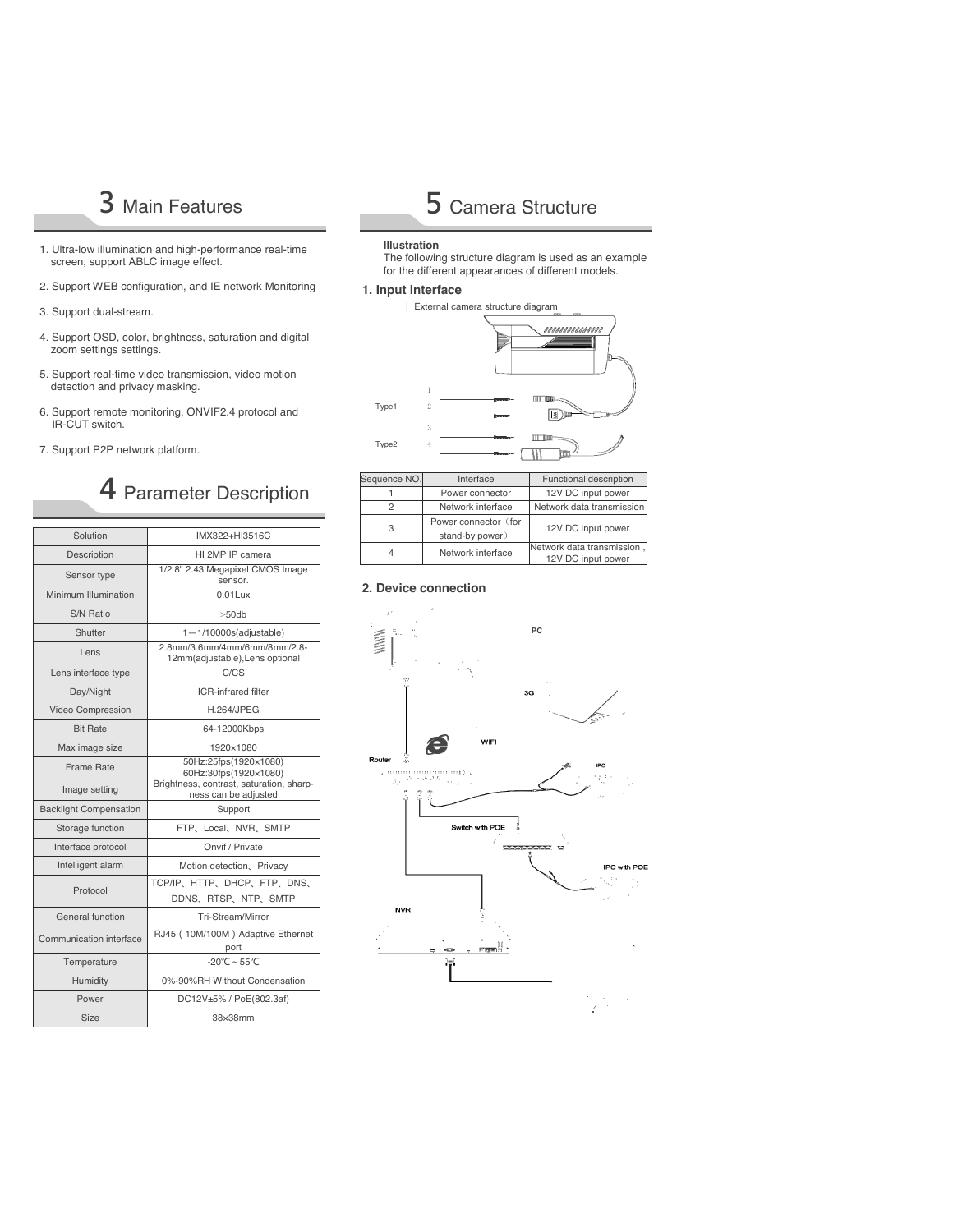- 1. Ultra-low illumination and high-performance real-time screen, support ABLC image effect.
- 2. Support WEB configuration, and IE network Monitoring
- 3. Support dual-stream.
- 4. Support OSD, color, brightness, saturation and digital zoom settings settings.
- 5. Support real-time video transmission, video motion detection and privacy masking.
- 6. Support remote monitoring, ONVIF2.4 protocol and IR-CUT switch.
- 7. Support P2P network platform.

## 4 Parameter Description

| Solution                      | IMX322+HI3516C                                                   |  |  |  |  |
|-------------------------------|------------------------------------------------------------------|--|--|--|--|
| Description                   | HI 2MP IP camera                                                 |  |  |  |  |
| Sensor type                   | 1/2.8" 2.43 Megapixel CMOS Image<br>sensor.                      |  |  |  |  |
| Minimum Illumination          | $0.01$ Lux                                                       |  |  |  |  |
| S/N Ratio                     | $>50$ db                                                         |  |  |  |  |
| Shutter                       | $1 - 1/10000s$ (adjustable)                                      |  |  |  |  |
| Lens                          | 2.8mm/3.6mm/4mm/6mm/8mm/2.8-<br>12mm(adjustable), Lens optional  |  |  |  |  |
| Lens interface type           | C/CS                                                             |  |  |  |  |
| Day/Night                     | <b>ICR-infrared filter</b>                                       |  |  |  |  |
| Video Compression             | <b>H.264/JPEG</b>                                                |  |  |  |  |
| <b>Bit Rate</b>               | 64-12000Kbps                                                     |  |  |  |  |
| Max image size                | 1920×1080                                                        |  |  |  |  |
| Frame Rate                    | 50Hz:25fps(1920×1080)<br>60Hz:30fps(1920×1080)                   |  |  |  |  |
| Image setting                 | Brightness, contrast, saturation, sharp-<br>ness can be adjusted |  |  |  |  |
| <b>Backlight Compensation</b> | Support                                                          |  |  |  |  |
| Storage function              | FTP, Local, NVR, SMTP                                            |  |  |  |  |
| Interface protocol            | Onvif / Private                                                  |  |  |  |  |
| Intelligent alarm             | Motion detection, Privacy                                        |  |  |  |  |
| Protocol                      | TCP/IP、HTTP、DHCP、FTP、DNS、<br>DDNS, RTSP, NTP, SMTP               |  |  |  |  |
| General function              | Tri-Stream/Mirror                                                |  |  |  |  |
| Communication interface       | RJ45 (10M/100M) Adaptive Ethernet<br>port                        |  |  |  |  |
| Temperature                   | $-20^{\circ}$ C ~ 55°C                                           |  |  |  |  |
| Humidity                      | 0%-90%RH Without Condensation                                    |  |  |  |  |
| Power                         | DC12V±5% / PoE(802.3af)                                          |  |  |  |  |
| Size                          | 38×38mm                                                          |  |  |  |  |

# 3 Main Features **5 Camera Structure**

#### **Illustration**

The following structure diagram is used as an example for the different appearances of different models.

#### **1. Input interface**



| Sequence NO. | Interface                               | Functional description                           |  |  |
|--------------|-----------------------------------------|--------------------------------------------------|--|--|
|              | Power connector                         | 12V DC input power                               |  |  |
| 2            | Network interface                       | Network data transmission                        |  |  |
| З            | Power connector (for<br>stand-by power) | 12V DC input power                               |  |  |
|              | Network interface                       | Network data transmission,<br>12V DC input power |  |  |

#### **2. Device connection**

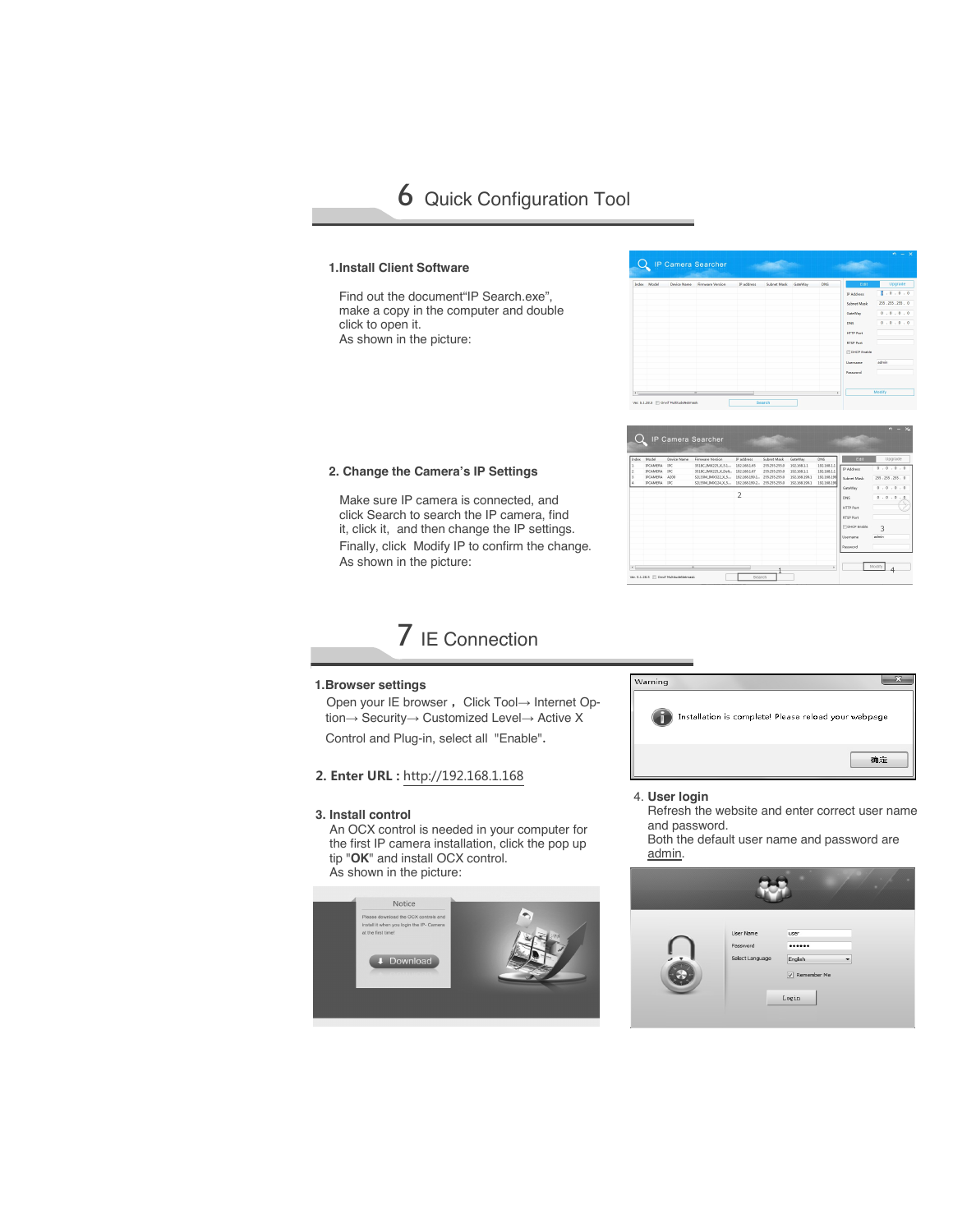6 Quick Configuration Tool

#### **1.Install Client Software**

Find out the document"IP Search.exe", make a copy in the computer and double click to open it. As shown in the picture:

|          | Index Model | Device Name | Firmware Version | IP address | Subnet Mask GateWay | DNS | Edit                                                                                                                        | Upgrade                                                      |
|----------|-------------|-------------|------------------|------------|---------------------|-----|-----------------------------------------------------------------------------------------------------------------------------|--------------------------------------------------------------|
|          |             |             |                  |            |                     |     | IP Address<br>Subnet Mask<br>GateWay<br>DNS<br><b>HTTP Port</b><br>RTSP Port<br><b>EDHCP Enable</b><br>Username<br>Password | 3.0.0.0<br>255.255.255.0<br>0.0.0.0.0<br>0.0.0.0.0<br>advis. |
| $\times$ |             |             | $\overline{ }$   |            |                     | ×   |                                                                                                                             | Modify                                                       |

| Index | Model                              | Device Name  | Firmware Version                                         | IP address                   | Subnet Mask                    | GateWay                    | DNS                        | Edit                  | Upgrade            |
|-------|------------------------------------|--------------|----------------------------------------------------------|------------------------------|--------------------------------|----------------------------|----------------------------|-----------------------|--------------------|
|       | <b>IPCAMERA</b><br><b>IPCAMERA</b> | DC.<br>tPC   | 351BC IMX225_X_5.1<br>351BC IMX225 X Delt., 192,168,1.67 | 192,168,1.65                 | 255,255,255.0<br>255,255,255.0 | 192,168,1.1<br>192,168,1.1 | 192,168,1.1<br>192,168.1.1 | IP Address            | 0.0.0.0.0          |
|       | <b>IPCAMERA</b>                    | A200<br>noc- | \$2L33M IN0(\$22 X S.,.                                  | 192.168.199.1.               | 255,255,255.0                  | 192.168.199.1              | 192.168.199                | Subnet Mask           | 255.255.255.0      |
|       | <b>IPCAMERA</b>                    |              | \$2L55M IN00124 X S                                      | 192.168.199.2. 255.255.255.0 |                                | 192.168.199.1              | 192.168.199                | GateWay               | 0.0.0.0.0          |
|       |                                    |              |                                                          | フ                            |                                |                            |                            | DNS                   | 0.0.0<br>$\cdot$ 0 |
|       |                                    |              |                                                          |                              |                                |                            |                            | <b>HTTP Port</b>      |                    |
|       |                                    |              |                                                          |                              |                                |                            |                            | RTSP Port             |                    |
|       |                                    |              |                                                          |                              |                                |                            |                            | <b>ITTOHOP Enable</b> | 3                  |
|       |                                    |              |                                                          |                              |                                |                            |                            | Domarco               | admin              |
|       |                                    |              |                                                          |                              |                                |                            |                            | Password              |                    |
|       |                                    |              |                                                          |                              |                                |                            |                            |                       |                    |

#### **2. Change the Camera's IP Settings**

Make sure IP camera is connected, and click Search to search the IP camera, find it, click it, and then change the IP settings. Finally, click Modify IP to confirm the change. As shown in the picture:



#### **1.Browser settings**

Open your IE browser, Click Tool→ Internet Option→ Security→ Customized Level→ Active X

Control and Plug-in, select all "Enable".

#### **2. Enter URL :** http://192.168.1.168

#### **3. Install control**

An OCX control is needed in your computer for the first IP camera installation, click the pop up tip "**OK**" and install OCX control. As shown in the picture:





Refresh the website and enter correct user name and password.

Both the default user name and password are admin.